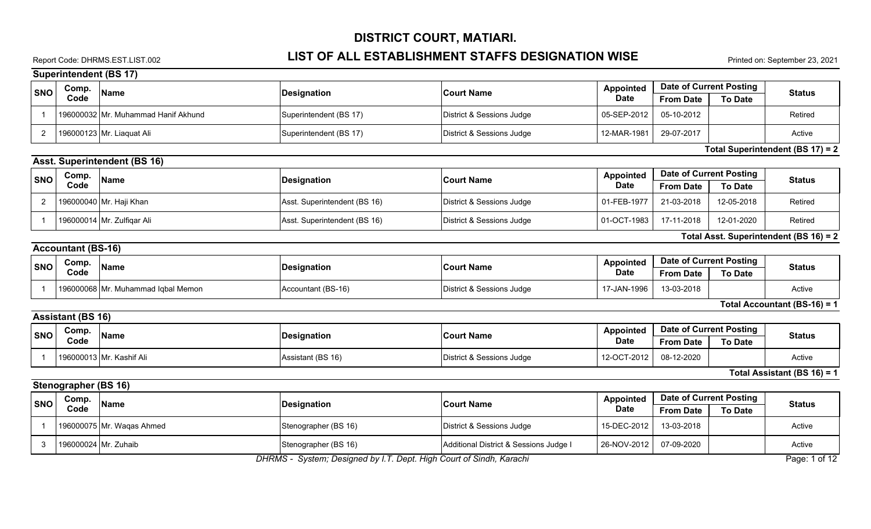### Report Code: DHRMS.EST.LIST.002 **LIST OF ALL ESTABLISHMENT STAFFS DESIGNATION WISE** Printed on: September 23, 2021

**Superintendent (BS 17)**

|                | oupermienuent (Do Tr)                                                                |                                     |                              |                                        |                  |                                |                |                                        |  |
|----------------|--------------------------------------------------------------------------------------|-------------------------------------|------------------------------|----------------------------------------|------------------|--------------------------------|----------------|----------------------------------------|--|
| <b>SNO</b>     | Comp.                                                                                | <b>Name</b>                         | <b>Designation</b>           | <b>Court Name</b>                      | <b>Appointed</b> | <b>Date of Current Posting</b> |                | <b>Status</b>                          |  |
|                | Code                                                                                 |                                     |                              |                                        | <b>Date</b>      | <b>From Date</b>               | <b>To Date</b> |                                        |  |
| $\mathbf 1$    |                                                                                      | 196000032 Mr. Muhammad Hanif Akhund | Superintendent (BS 17)       | District & Sessions Judge              | 05-SEP-2012      | 05-10-2012                     |                | Retired                                |  |
| $\overline{2}$ |                                                                                      | 196000123 Mr. Liaquat Ali           | Superintendent (BS 17)       | District & Sessions Judge              | 12-MAR-1981      | 29-07-2017                     |                | Active                                 |  |
|                |                                                                                      |                                     |                              |                                        |                  |                                |                | Total Superintendent (BS 17) = 2       |  |
|                |                                                                                      | <b>Asst. Superintendent (BS 16)</b> |                              |                                        |                  |                                |                |                                        |  |
| <b>SNO</b>     | Comp.                                                                                | <b>Name</b>                         | <b>Designation</b>           | <b>Court Name</b>                      | <b>Appointed</b> | <b>Date of Current Posting</b> |                | <b>Status</b>                          |  |
|                | Code                                                                                 |                                     |                              |                                        | <b>Date</b>      | <b>From Date</b>               | <b>To Date</b> |                                        |  |
| $\overline{2}$ |                                                                                      | 196000040 Mr. Haji Khan             | Asst. Superintendent (BS 16) | District & Sessions Judge              | 01-FEB-1977      | 21-03-2018                     | 12-05-2018     | Retired                                |  |
| $\overline{1}$ |                                                                                      | 196000014 Mr. Zulfigar Ali          | Asst. Superintendent (BS 16) | District & Sessions Judge              | 01-OCT-1983      | 17-11-2018                     | 12-01-2020     | Retired                                |  |
|                |                                                                                      |                                     |                              |                                        |                  |                                |                | Total Asst. Superintendent (BS 16) = 2 |  |
|                | <b>Accountant (BS-16)</b>                                                            |                                     |                              |                                        |                  |                                |                |                                        |  |
| <b>SNO</b>     | Comp.                                                                                | <b>Name</b>                         | <b>Designation</b>           | <b>Court Name</b>                      | Appointed        | <b>Date of Current Posting</b> |                | <b>Status</b>                          |  |
|                | Code                                                                                 |                                     |                              |                                        | <b>Date</b>      | <b>From Date</b>               | <b>To Date</b> |                                        |  |
| $\overline{1}$ |                                                                                      | 196000068 Mr. Muhammad Iqbal Memon  | Accountant (BS-16)           | District & Sessions Judge              | 17-JAN-1996      | 13-03-2018                     |                | Active                                 |  |
|                |                                                                                      |                                     |                              |                                        |                  |                                |                | Total Accountant (BS-16) = 1           |  |
|                | <b>Assistant (BS 16)</b>                                                             |                                     |                              |                                        |                  |                                |                |                                        |  |
| <b>SNO</b>     | Comp.                                                                                | <b>Name</b>                         | <b>Designation</b>           | <b>Court Name</b>                      | <b>Appointed</b> | <b>Date of Current Posting</b> |                | <b>Status</b>                          |  |
|                | Code                                                                                 |                                     |                              |                                        | <b>Date</b>      | <b>From Date</b>               | <b>To Date</b> |                                        |  |
| -1             |                                                                                      | 196000013 Mr. Kashif Ali            | Assistant (BS 16)            | District & Sessions Judge              | 12-OCT-2012      | 08-12-2020                     |                | Active                                 |  |
|                |                                                                                      |                                     |                              |                                        |                  |                                |                | Total Assistant (BS 16) = 1            |  |
|                | <b>Stenographer (BS 16)</b>                                                          |                                     |                              |                                        |                  |                                |                |                                        |  |
| <b>SNO</b>     | Comp.                                                                                | <b>Name</b>                         | <b>Designation</b>           | <b>Court Name</b>                      | <b>Appointed</b> | Date of Current Posting        |                | <b>Status</b>                          |  |
|                | Code                                                                                 |                                     |                              |                                        | <b>Date</b>      | <b>From Date</b>               | <b>To Date</b> |                                        |  |
| $\overline{1}$ |                                                                                      | 196000075 Mr. Wagas Ahmed           | Stenographer (BS 16)         | District & Sessions Judge              | 15-DEC-2012      | 13-03-2018                     |                | Active                                 |  |
| 3              | 196000024 Mr. Zuhaib                                                                 |                                     | Stenographer (BS 16)         | Additional District & Sessions Judge I | 26-NOV-2012      | 07-09-2020                     |                | Active                                 |  |
|                | DHRMS - System; Designed by I.T. Dept. High Court of Sindh, Karachi<br>Page: 1 of 12 |                                     |                              |                                        |                  |                                |                |                                        |  |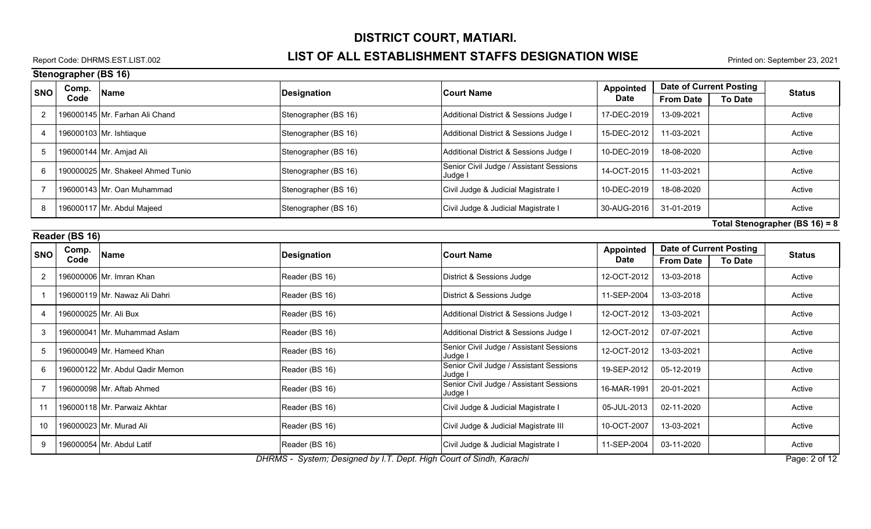### Report Code: DHRMS.EST.LIST.002 **LIST OF ALL ESTABLISHMENT STAFFS DESIGNATION WISE** Printed on: September 23, 2021

**Stenographer (BS 16)**

|                | וטו טען וסווקטווטוט<br>Comp.   |                                   |                      |                                                    | <b>Appointed</b> | <b>Date of Current Posting</b> |                |               |
|----------------|--------------------------------|-----------------------------------|----------------------|----------------------------------------------------|------------------|--------------------------------|----------------|---------------|
| <b>SNO</b>     | Code                           | Name                              | <b>Designation</b>   | <b>Court Name</b>                                  | <b>Date</b>      | <b>From Date</b>               | <b>To Date</b> | <b>Status</b> |
| $\overline{2}$ |                                | 196000145 Mr. Farhan Ali Chand    | Stenographer (BS 16) | Additional District & Sessions Judge I             | 17-DEC-2019      | 13-09-2021                     |                | Active        |
| 4              |                                | 196000103 Mr. Ishtiaque           | Stenographer (BS 16) | Additional District & Sessions Judge I             | 15-DEC-2012      | 11-03-2021                     |                | Active        |
| 5              |                                | 196000144 Mr. Amjad Ali           | Stenographer (BS 16) | Additional District & Sessions Judge I             | 10-DEC-2019      | 18-08-2020                     |                | Active        |
| 6              |                                | 190000025 Mr. Shakeel Ahmed Tunio | Stenographer (BS 16) | Senior Civil Judge / Assistant Sessions<br>Judge I | 14-OCT-2015      | 11-03-2021                     |                | Active        |
| 7              |                                | 196000143 Mr. Oan Muhammad        | Stenographer (BS 16) | Civil Judge & Judicial Magistrate I                | 10-DEC-2019      | 18-08-2020                     |                | Active        |
| 8              |                                | 196000117 Mr. Abdul Majeed        | Stenographer (BS 16) | Civil Judge & Judicial Magistrate I                | 30-AUG-2016      | 31-01-2019                     |                | Active        |
|                | Total Stenographer (BS 16) = 8 |                                   |                      |                                                    |                  |                                |                |               |
|                | Reader (BS 16)                 |                                   |                      |                                                    |                  |                                |                |               |
| <b>SNO</b>     | Comp.                          | Name                              | <b>Designation</b>   | <b>Court Name</b>                                  | <b>Appointed</b> | <b>Date of Current Posting</b> |                | <b>Status</b> |
|                | Code                           |                                   |                      |                                                    | <b>Date</b>      | <b>From Date</b>               | <b>To Date</b> |               |
| 2              |                                | 196000006 Mr. Imran Khan          | Reader (BS 16)       | District & Sessions Judge                          | 12-OCT-2012      | 13-03-2018                     |                | Active        |
| -1             |                                | 196000119 Mr. Nawaz Ali Dahri     | Reader (BS 16)       | District & Sessions Judge                          | 11-SEP-2004      | 13-03-2018                     |                | Active        |
| -4             |                                | 196000025 Mr. Ali Bux             | Reader (BS 16)       | Additional District & Sessions Judge I             | 12-OCT-2012      | 13-03-2021                     |                | Active        |
| 3              |                                | 196000041 Mr. Muhammad Aslam      | Reader (BS 16)       | Additional District & Sessions Judge I             | 12-OCT-2012      | 07-07-2021                     |                | Active        |
| 5              |                                | 196000049 Mr. Hameed Khan         | Reader (BS 16)       | Senior Civil Judge / Assistant Sessions<br>Judge I | 12-OCT-2012      | 13-03-2021                     |                | Active        |
| 6              |                                | 196000122 Mr. Abdul Qadir Memon   | Reader (BS 16)       | Senior Civil Judge / Assistant Sessions<br>Judge   | 19-SEP-2012      | 05-12-2019                     |                | Active        |
| $\overline{7}$ |                                | 196000098 Mr. Aftab Ahmed         | Reader (BS 16)       | Senior Civil Judge / Assistant Sessions<br>Judge I | 16-MAR-1991      | 20-01-2021                     |                | Active        |
| 11             |                                | 196000118 Mr. Parwaiz Akhtar      | Reader (BS 16)       | Civil Judge & Judicial Magistrate I                | 05-JUL-2013      | 02-11-2020                     |                | Active        |
| 10             |                                | 196000023 Mr. Murad Ali           | Reader (BS 16)       | Civil Judge & Judicial Magistrate III              | 10-OCT-2007      | 13-03-2021                     |                | Active        |
| 9              |                                | 196000054 Mr. Abdul Latif         | Reader (BS 16)       | Civil Judge & Judicial Magistrate I                | 11-SEP-2004      | 03-11-2020                     |                | Active        |

*DHRMS - System; Designed by I.T. Dept. High Court of Sindh, Karachi* Page: 2 of 12 **Page: 2 of 12**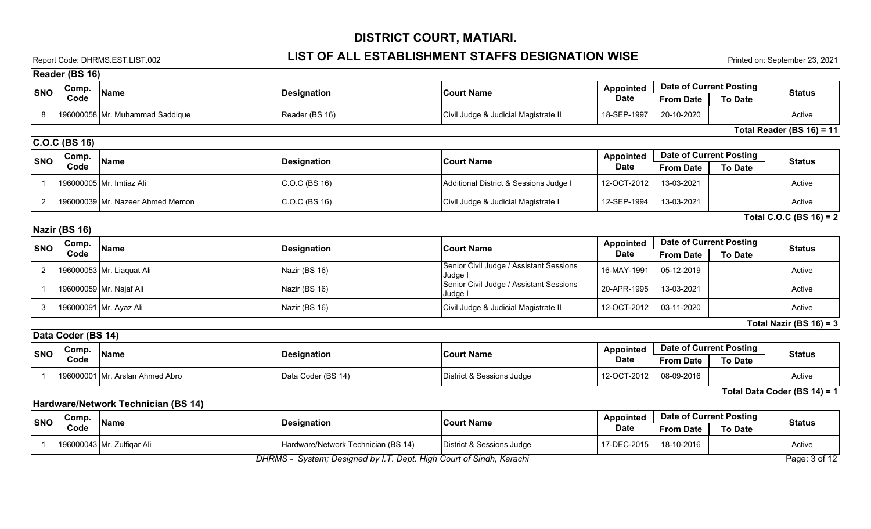# Report Code: DHRMS.EST.LIST.002 **LIST OF ALL ESTABLISHMENT STAFFS DESIGNATION WISE** Printed on: September 23, 2021

**Reader (BS 16)**

| <b>SNO</b>     | Comp.              | <b>Name</b>                         | <b>Designation</b>                                                  | <b>Court Name</b>                                  | <b>Appointed</b>                | <b>Date of Current Posting</b>                     |                | <b>Status</b>                |
|----------------|--------------------|-------------------------------------|---------------------------------------------------------------------|----------------------------------------------------|---------------------------------|----------------------------------------------------|----------------|------------------------------|
|                | Code               |                                     |                                                                     |                                                    | <b>Date</b>                     | <b>From Date</b>                                   | <b>To Date</b> |                              |
| 8              |                    | 196000058 Mr. Muhammad Saddique     | Reader (BS 16)                                                      | Civil Judge & Judicial Magistrate II               | 18-SEP-1997                     | 20-10-2020                                         |                | Active                       |
|                |                    |                                     |                                                                     |                                                    |                                 |                                                    |                | Total Reader (BS $16$ ) = 11 |
|                | C.O.C (BS 16)      |                                     |                                                                     |                                                    |                                 |                                                    |                |                              |
| <b>SNO</b>     | Comp.              | <b>Name</b>                         | <b>Designation</b>                                                  | <b>Court Name</b>                                  | <b>Appointed</b>                | <b>Date of Current Posting</b>                     |                | <b>Status</b>                |
|                | Code               |                                     |                                                                     |                                                    | <b>Date</b>                     | <b>From Date</b>                                   | <b>To Date</b> |                              |
| $\overline{1}$ |                    | 196000005 Mr. Imtiaz Ali            | C.O.C (BS 16)                                                       | Additional District & Sessions Judge I             | 12-OCT-2012                     | 13-03-2021                                         |                | Active                       |
| $\overline{2}$ |                    | 196000039 Mr. Nazeer Ahmed Memon    | C.O.C (BS 16)                                                       | Civil Judge & Judicial Magistrate I                | 12-SEP-1994                     | 13-03-2021                                         |                | Active                       |
|                |                    |                                     |                                                                     |                                                    |                                 |                                                    |                | Total C.O.C (BS 16) = 2      |
|                | Nazir (BS 16)      |                                     |                                                                     |                                                    |                                 |                                                    |                |                              |
| <b>SNO</b>     | Comp.              | <b>Name</b>                         |                                                                     | <b>Court Name</b>                                  | <b>Appointed</b>                | <b>Date of Current Posting</b>                     |                | <b>Status</b>                |
|                | Code               |                                     | <b>Designation</b>                                                  |                                                    | <b>Date</b>                     | <b>From Date</b>                                   | <b>To Date</b> |                              |
| 2              |                    | 196000053 Mr. Liaquat Ali           | Nazir (BS 16)                                                       | Senior Civil Judge / Assistant Sessions<br>Judge I | 16-MAY-1991                     | 05-12-2019                                         |                | Active                       |
| $\overline{1}$ |                    | 196000059 Mr. Najaf Ali             | Nazir (BS 16)                                                       | Senior Civil Judge / Assistant Sessions<br>Judge   | 20-APR-1995                     | 13-03-2021                                         |                | Active                       |
| 3              |                    | 196000091 Mr. Ayaz Ali              | Nazir (BS 16)                                                       | Civil Judge & Judicial Magistrate II               | 12-OCT-2012                     | 03-11-2020                                         |                | Active                       |
|                |                    |                                     |                                                                     |                                                    |                                 |                                                    |                | Total Nazir (BS $16$ ) = 3   |
|                | Data Coder (BS 14) |                                     |                                                                     |                                                    |                                 |                                                    |                |                              |
| <b>SNO</b>     | Comp.<br>Code      | <b>Name</b>                         | <b>Designation</b>                                                  | <b>Court Name</b>                                  | <b>Appointed</b><br><b>Date</b> | <b>Date of Current Posting</b><br><b>From Date</b> | <b>To Date</b> | <b>Status</b>                |
| $\overline{1}$ |                    | 196000001 Mr. Arslan Ahmed Abro     | Data Coder (BS 14)                                                  | District & Sessions Judge                          | 12-OCT-2012                     | 08-09-2016                                         |                | Active                       |
|                |                    |                                     |                                                                     |                                                    |                                 |                                                    |                | Total Data Coder (BS 14) = 1 |
|                |                    | Hardware/Network Technician (BS 14) |                                                                     |                                                    |                                 |                                                    |                |                              |
| <b>SNO</b>     | Comp.              | Name                                | <b>Designation</b>                                                  | <b>Court Name</b>                                  | <b>Appointed</b>                | <b>Date of Current Posting</b>                     |                | <b>Status</b>                |
|                | Code               |                                     |                                                                     |                                                    | <b>Date</b>                     | <b>From Date</b>                                   | <b>To Date</b> |                              |
| $\overline{1}$ |                    | 196000043 Mr. Zulfiqar Ali          | Hardware/Network Technician (BS 14)                                 | District & Sessions Judge                          | 17-DEC-2015                     | 18-10-2016                                         |                | Active                       |
|                |                    |                                     | DHRMS - System; Designed by I.T. Dept. High Court of Sindh, Karachi |                                                    |                                 |                                                    |                | Page: 3 of 12                |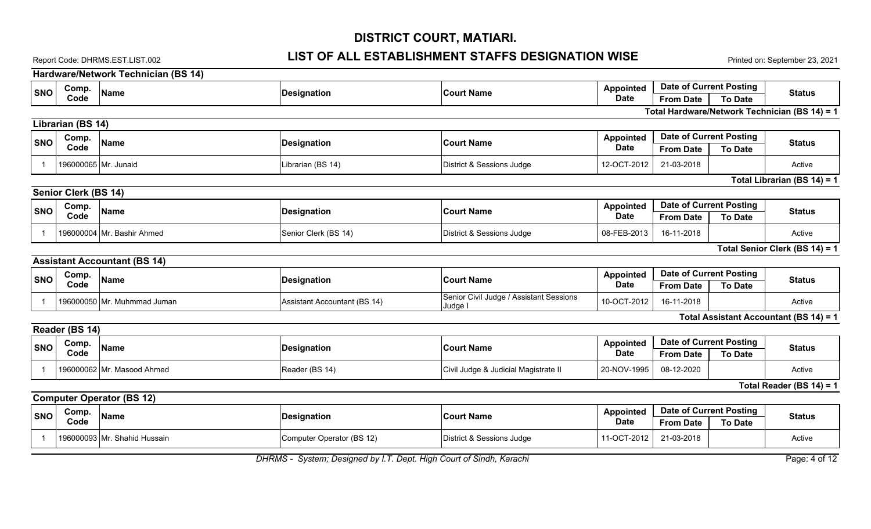#### Report Code: DHRMS.EST.LIST.002 **LIST OF ALL ESTABLISHMENT STAFFS DESIGNATION WISE** Printed on: September 23, 2021

**Hardware/Network Technician (BS 14) SNO Name Designation Comp. Code Court Name From Date To Date Status Appointed Date Date of Current Posting Total Hardware/Network Technician (BS 14) = 1 Librarian (BS 14) SNO Name Designation Comp. Code Court Name From Date To Date Status Appointed Date Date of Current Posting** 1 196000065 Mr. Junaid Librarian (BS 14) District & Sessions Judge 12-OCT-2012 21-03-2018 Active **Total Librarian (BS 14) = 1 Senior Clerk (BS 14) SNO Name Name Name Designation Comp. Code Court Name From Date To Date Status Appointed Date Date of Current Posting** 1 | 196000004 Mr. Bashir Ahmed Senior Clerk (BS 14) District & Sessions Judge | 08-FEB-2013 | 16-11-2018 | Active **Total Senior Clerk (BS 14) = 1 Assistant Accountant (BS 14) SNO ORIGINAL PROPERTY COMP.** Name **Comp. Code Court Name From Date To Date Status Appointed Date Date of Current Posting** 16-11-2018 **Active** Senior Civil Judge / Assistant Sessions Judge I 1 | 196000050 Mr. Muhmmad Juman | Assistant Accountant (BS 14) | Holder Assistant Sessions | 10-OCT-2012 **Total Assistant Accountant (BS 14) = 1 Reader (BS 14) SNO Code Name Designation Comp. Code Court Name From Date To Date Status Appointed Date Date of Current Posting** 1 196000062 Mr. Masood Ahmed Reader (BS 14) Civil Judge & Judicial Magistrate II 20-NOV-1995 08-12-2020 Active **Total Reader (BS 14) = 1 Computer Operator (BS 12) SNO Name Name Name Designation Comp. Code Court Name From Date To Date Status Appointed Date Date of Current Posting** 1 196000093 Mr. Shahid Hussain Computer Operator (BS 12) District & Sessions Judge 11-OCT-2012 21-03-2018 Active

*DHRMS - System; Designed by I.T. Dept. High Court of Sindh, Karachi* Page: 4 of 12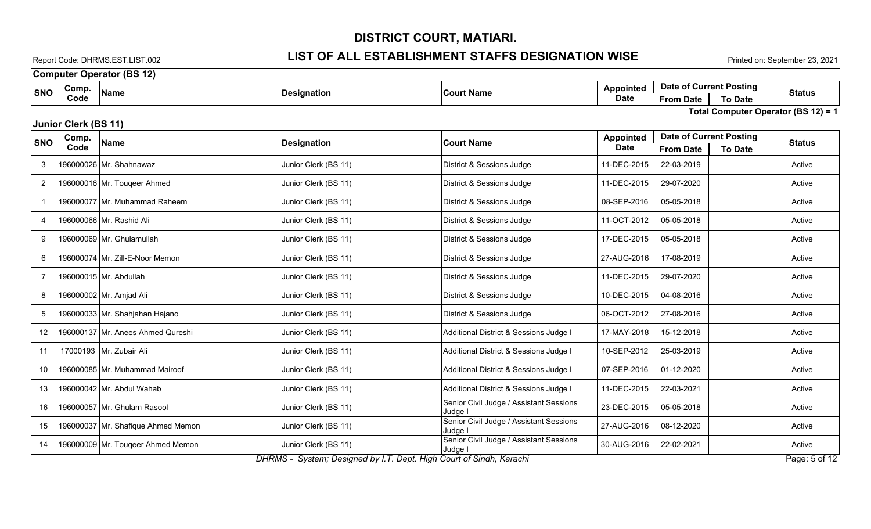### Report Code: DHRMS.EST.LIST.002 **LIST OF ALL ESTABLISHMENT STAFFS DESIGNATION WISE** Printed on: September 23, 2021

**Computer Operator (BS 12)**

| <b>SNO</b>     | Comp.<br><b>Name</b>               | <b>Designation</b>                                                  | <b>Court Name</b>                                  | Appointed                       | <b>Date of Current Posting</b>                     |                | <b>Status</b>                       |
|----------------|------------------------------------|---------------------------------------------------------------------|----------------------------------------------------|---------------------------------|----------------------------------------------------|----------------|-------------------------------------|
|                | Code                               |                                                                     |                                                    | <b>Date</b>                     | <b>From Date</b>                                   | <b>To Date</b> |                                     |
|                |                                    |                                                                     |                                                    |                                 |                                                    |                | Total Computer Operator (BS 12) = 1 |
|                | <b>Junior Clerk (BS 11)</b>        |                                                                     |                                                    |                                 |                                                    |                |                                     |
| <b>SNO</b>     | Comp.<br><b>Name</b><br>Code       | <b>Designation</b>                                                  | <b>Court Name</b>                                  | <b>Appointed</b><br><b>Date</b> | <b>Date of Current Posting</b><br><b>From Date</b> | <b>To Date</b> | <b>Status</b>                       |
| 3              | 196000026 Mr. Shahnawaz            | Junior Clerk (BS 11)                                                | District & Sessions Judge                          | 11-DEC-2015                     | 22-03-2019                                         |                | Active                              |
| $\overline{2}$ | 196000016 Mr. Tougeer Ahmed        | Junior Clerk (BS 11)                                                | District & Sessions Judge                          | 11-DEC-2015                     | 29-07-2020                                         |                | Active                              |
| $\mathbf 1$    | 196000077 Mr. Muhammad Raheem      | Junior Clerk (BS 11)                                                | District & Sessions Judge                          | 08-SEP-2016                     | 05-05-2018                                         |                | Active                              |
| $\overline{4}$ | 196000066 Mr. Rashid Ali           | Junior Clerk (BS 11)                                                | District & Sessions Judge                          | 11-OCT-2012                     | 05-05-2018                                         |                | Active                              |
| 9              | 196000069 Mr. Ghulamullah          | Junior Clerk (BS 11)                                                | District & Sessions Judge                          | 17-DEC-2015                     | 05-05-2018                                         |                | Active                              |
| 6              | 196000074 Mr. Zill-E-Noor Memon    | Junior Clerk (BS 11)                                                | District & Sessions Judge                          | 27-AUG-2016                     | 17-08-2019                                         |                | Active                              |
| 7              | 196000015 Mr. Abdullah             | Junior Clerk (BS 11)                                                | District & Sessions Judge                          | 11-DEC-2015                     | 29-07-2020                                         |                | Active                              |
| 8              | 196000002 Mr. Amjad Ali            | Junior Clerk (BS 11)                                                | District & Sessions Judge                          | 10-DEC-2015                     | 04-08-2016                                         |                | Active                              |
| 5              | 196000033 Mr. Shahjahan Hajano     | Junior Clerk (BS 11)                                                | District & Sessions Judge                          | 06-OCT-2012                     | 27-08-2016                                         |                | Active                              |
| 12             | 196000137 Mr. Anees Ahmed Qureshi  | Junior Clerk (BS 11)                                                | Additional District & Sessions Judge I             | 17-MAY-2018                     | 15-12-2018                                         |                | Active                              |
| 11             | 17000193 Mr. Zubair Ali            | Junior Clerk (BS 11)                                                | Additional District & Sessions Judge I             | 10-SEP-2012                     | 25-03-2019                                         |                | Active                              |
| 10             | 196000085 Mr. Muhammad Mairoof     | Junior Clerk (BS 11)                                                | Additional District & Sessions Judge I             | 07-SEP-2016                     | 01-12-2020                                         |                | Active                              |
| 13             | 196000042 Mr. Abdul Wahab          | Junior Clerk (BS 11)                                                | Additional District & Sessions Judge I             | 11-DEC-2015                     | 22-03-2021                                         |                | Active                              |
| 16             | 196000057 Mr. Ghulam Rasool        | Junior Clerk (BS 11)                                                | Senior Civil Judge / Assistant Sessions<br>Judge I | 23-DEC-2015                     | 05-05-2018                                         |                | Active                              |
| 15             | 196000037 Mr. Shafique Ahmed Memon | Junior Clerk (BS 11)                                                | Senior Civil Judge / Assistant Sessions<br>Judge l | 27-AUG-2016                     | 08-12-2020                                         |                | Active                              |
| 14             | 196000009 Mr. Tougeer Ahmed Memon  | Junior Clerk (BS 11)                                                | Senior Civil Judge / Assistant Sessions<br>Judge I | 30-AUG-2016                     | 22-02-2021                                         |                | Active                              |
|                |                                    | DHRMS - System; Designed by I.T. Dept. High Court of Sindh, Karachi |                                                    |                                 |                                                    |                | Page: 5 of 12                       |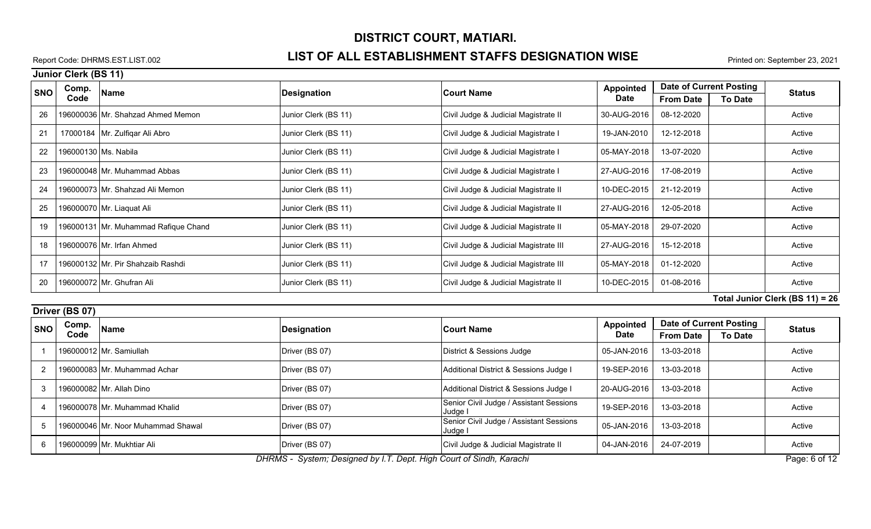### Report Code: DHRMS.EST.LIST.002 **LIST OF ALL ESTABLISHMENT STAFFS DESIGNATION WISE** Printed on: September 23, 2021

**Junior Clerk (BS 11)**

| <b>SNO</b>                      | Comp. |                                      |                      |                                       | <b>Appointed</b> |                  | Date of Current Posting |               |
|---------------------------------|-------|--------------------------------------|----------------------|---------------------------------------|------------------|------------------|-------------------------|---------------|
|                                 | Code  | Name                                 | Designation          | <b>Court Name</b>                     | Date             | <b>From Date</b> | <b>To Date</b>          | <b>Status</b> |
| 26                              |       | 196000036 Mr. Shahzad Ahmed Memon    | Junior Clerk (BS 11) | Civil Judge & Judicial Magistrate II  | 30-AUG-2016      | 08-12-2020       |                         | Active        |
| 21                              |       | 17000184   Mr. Zulfiqar Ali Abro     | Junior Clerk (BS 11) | Civil Judge & Judicial Magistrate I   | 19-JAN-2010      | 12-12-2018       |                         | Active        |
| 22                              |       | 196000130   Ms. Nabila               | Junior Clerk (BS 11) | Civil Judge & Judicial Magistrate I   | 05-MAY-2018      | 13-07-2020       |                         | Active        |
| 23                              |       | 196000048 Mr. Muhammad Abbas         | Junior Clerk (BS 11) | Civil Judge & Judicial Magistrate I   | 27-AUG-2016      | 17-08-2019       |                         | Active        |
| 24                              |       | 196000073 Mr. Shahzad Ali Memon      | Junior Clerk (BS 11) | Civil Judge & Judicial Magistrate II  | 10-DEC-2015      | 21-12-2019       |                         | Active        |
| 25                              |       | 196000070 Mr. Liaquat Ali            | Junior Clerk (BS 11) | Civil Judge & Judicial Magistrate II  | 27-AUG-2016      | 12-05-2018       |                         | Active        |
| 19                              |       | 196000131 Mr. Muhammad Rafique Chand | Junior Clerk (BS 11) | Civil Judge & Judicial Magistrate II  | 05-MAY-2018      | 29-07-2020       |                         | Active        |
| 18                              |       | 196000076 Mr. Irfan Ahmed            | Junior Clerk (BS 11) | Civil Judge & Judicial Magistrate III | 27-AUG-2016      | 15-12-2018       |                         | Active        |
|                                 |       | 196000132 Mr. Pir Shahzaib Rashdi    | Junior Clerk (BS 11) | Civil Judge & Judicial Magistrate III | 05-MAY-2018      | 01-12-2020       |                         | Active        |
| 20                              |       | 196000072 Mr. Ghufran Ali            | Junior Clerk (BS 11) | Civil Judge & Judicial Magistrate II  | 10-DEC-2015      | 01-08-2016       |                         | Active        |
| Total Junior Clerk (BS 11) = 26 |       |                                      |                      |                                       |                  |                  |                         |               |

**Driver (BS 07)**

| <u>UIIVEI IDU VII</u> |                                                                                  |                                    |                    |                                                    |             |                  |                                |               |  |  |
|-----------------------|----------------------------------------------------------------------------------|------------------------------------|--------------------|----------------------------------------------------|-------------|------------------|--------------------------------|---------------|--|--|
| <b>SNO</b>            | Comp.                                                                            | <b>Name</b>                        | <b>Designation</b> | <b>Court Name</b>                                  | Appointed   |                  | <b>Date of Current Posting</b> | <b>Status</b> |  |  |
|                       | Code                                                                             |                                    |                    |                                                    | Date        | <b>From Date</b> | <b>To Date</b>                 |               |  |  |
|                       |                                                                                  | 196000012 Mr. Samiullah            | Driver (BS 07)     | District & Sessions Judge                          | 05-JAN-2016 | 13-03-2018       |                                | Active        |  |  |
|                       |                                                                                  | 196000083 Mr. Muhammad Achar       | Driver (BS 07)     | Additional District & Sessions Judge I             | 19-SEP-2016 | 13-03-2018       |                                | Active        |  |  |
|                       |                                                                                  | 196000082 Mr. Allah Dino           | Driver (BS 07)     | Additional District & Sessions Judge I             | 20-AUG-2016 | 13-03-2018       |                                | Active        |  |  |
|                       |                                                                                  | 196000078 Mr. Muhammad Khalid      | Driver (BS 07)     | Senior Civil Judge / Assistant Sessions<br>Judge I | 19-SEP-2016 | 13-03-2018       |                                | Active        |  |  |
|                       |                                                                                  | 196000046 Mr. Noor Muhammad Shawal | Driver (BS 07)     | Senior Civil Judge / Assistant Sessions<br>Judge I | 05-JAN-2016 | 13-03-2018       |                                | Active        |  |  |
|                       |                                                                                  | 196000099 Mr. Mukhtiar Ali         | Driver (BS 07)     | Civil Judge & Judicial Magistrate II               | 04-JAN-2016 | 24-07-2019       |                                | Active        |  |  |
|                       | <b>PUPUG Q L P L LI LT P LULLO L LOL ILLIZ LI</b><br>$\sim$ $\sim$ $\sim$ $\sim$ |                                    |                    |                                                    |             |                  |                                |               |  |  |

*DHRMS - System; Designed by I.T. Dept. High Court of Sindh, Karachi* Page: 6 of 12 **Page: 6 of 12** Page: 6 of 12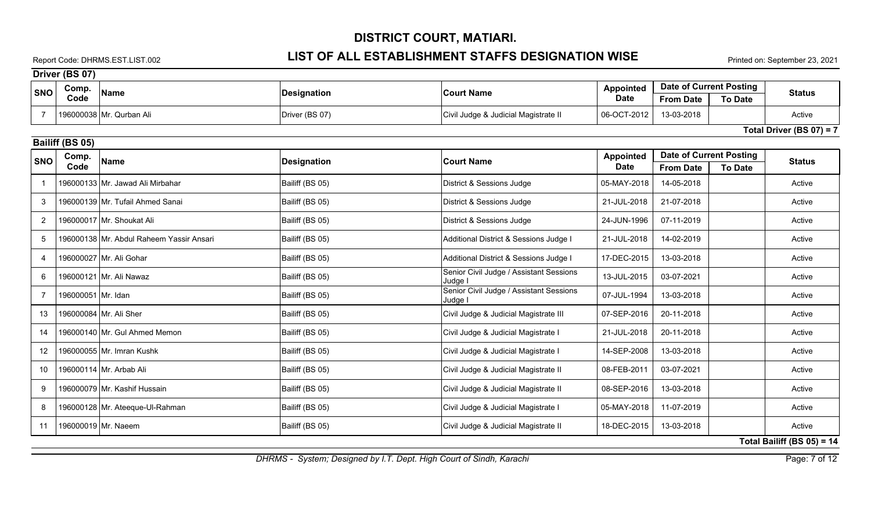### Report Code: DHRMS.EST.LIST.002 **LIST OF ALL ESTABLISHMENT STAFFS DESIGNATION WISE** Printed on: September 23, 2021

|                   | Driver (BS 07)     |                                          |                 |                                                    |                                 |                                                    |                |                               |
|-------------------|--------------------|------------------------------------------|-----------------|----------------------------------------------------|---------------------------------|----------------------------------------------------|----------------|-------------------------------|
| <b>SNO</b>        | Comp.              | <b>Name</b>                              | Designation     | <b>Court Name</b>                                  | <b>Appointed</b>                | <b>Date of Current Posting</b>                     |                | <b>Status</b>                 |
|                   | Code               |                                          |                 |                                                    | <b>Date</b>                     | <b>From Date</b>                                   | <b>To Date</b> |                               |
| -7                |                    | 196000038 Mr. Qurban Ali                 | Driver (BS 07)  | Civil Judge & Judicial Magistrate II               | 06-OCT-2012                     | 13-03-2018                                         |                | Active                        |
|                   |                    |                                          |                 |                                                    |                                 |                                                    |                | Total Driver (BS $07$ ) = 7   |
|                   | Bailiff (BS 05)    |                                          |                 |                                                    |                                 |                                                    |                |                               |
| <b>SNO</b>        | Comp.<br>Code      | Name                                     | Designation     | <b>Court Name</b>                                  | <b>Appointed</b><br><b>Date</b> | <b>Date of Current Posting</b><br><b>From Date</b> | <b>To Date</b> | <b>Status</b>                 |
|                   |                    | 196000133 Mr. Jawad Ali Mirbahar         | Bailiff (BS 05) | District & Sessions Judge                          | 05-MAY-2018                     | 14-05-2018                                         |                | Active                        |
| 3                 |                    | 196000139 Mr. Tufail Ahmed Sanai         | Bailiff (BS 05) | District & Sessions Judge                          | 21-JUL-2018                     | 21-07-2018                                         |                | Active                        |
| 2                 |                    | 196000017 Mr. Shoukat Ali                | Bailiff (BS 05) | District & Sessions Judge                          | 24-JUN-1996                     | 07-11-2019                                         |                | Active                        |
| 5                 |                    | 196000138 Mr. Abdul Raheem Yassir Ansari | Bailiff (BS 05) | Additional District & Sessions Judge I             | 21-JUL-2018                     | 14-02-2019                                         |                | Active                        |
| 4                 |                    | 196000027 Mr. Ali Gohar                  | Bailiff (BS 05) | Additional District & Sessions Judge I             | 17-DEC-2015                     | 13-03-2018                                         |                | Active                        |
| 6                 |                    | 196000121 Mr. Ali Nawaz                  | Bailiff (BS 05) | Senior Civil Judge / Assistant Sessions<br>Judge I | 13-JUL-2015                     | 03-07-2021                                         |                | Active                        |
| $\overline{7}$    | 196000051 Mr. Idan |                                          | Bailiff (BS 05) | Senior Civil Judge / Assistant Sessions<br>Judge I | 07-JUL-1994                     | 13-03-2018                                         |                | Active                        |
| 13                |                    | 196000084 Mr. Ali Sher                   | Bailiff (BS 05) | Civil Judge & Judicial Magistrate III              | 07-SEP-2016                     | 20-11-2018                                         |                | Active                        |
| 14                |                    | 196000140 Mr. Gul Ahmed Memon            | Bailiff (BS 05) | Civil Judge & Judicial Magistrate I                | 21-JUL-2018                     | 20-11-2018                                         |                | Active                        |
| $12 \overline{ }$ |                    | 196000055 Mr. Imran Kushk                | Bailiff (BS 05) | Civil Judge & Judicial Magistrate I                | 14-SEP-2008                     | 13-03-2018                                         |                | Active                        |
| 10                |                    | 196000114 Mr. Arbab Ali                  | Bailiff (BS 05) | Civil Judge & Judicial Magistrate II               | 08-FEB-2011                     | 03-07-2021                                         |                | Active                        |
| 9                 |                    | 196000079 Mr. Kashif Hussain             | Bailiff (BS 05) | Civil Judge & Judicial Magistrate II               | 08-SEP-2016                     | 13-03-2018                                         |                | Active                        |
| 8                 |                    | 196000128 Mr. Ateeque-UI-Rahman          | Bailiff (BS 05) | Civil Judge & Judicial Magistrate I                | 05-MAY-2018                     | 11-07-2019                                         |                | Active                        |
| 11                |                    | 196000019 Mr. Naeem                      | Bailiff (BS 05) | Civil Judge & Judicial Magistrate II               | 18-DEC-2015                     | 13-03-2018                                         |                | Active                        |
|                   |                    |                                          |                 |                                                    |                                 |                                                    |                | Total Bailiff (BS $05$ ) = 14 |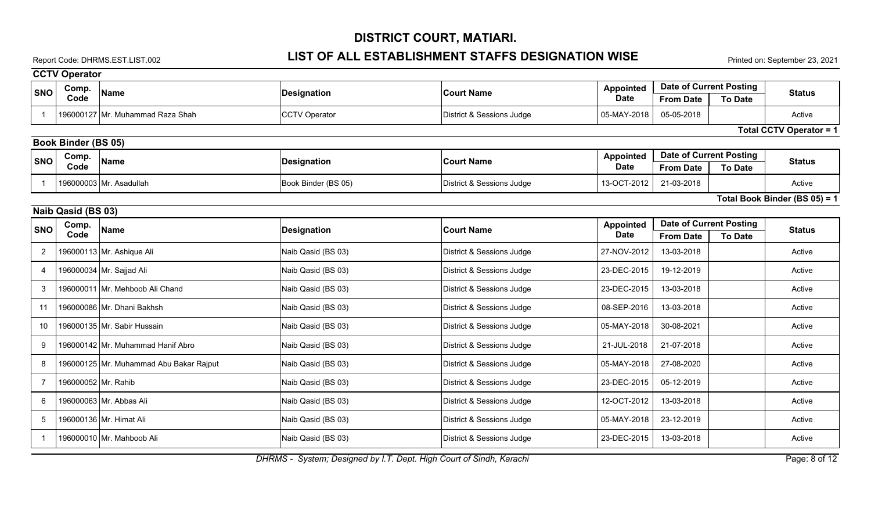## Report Code: DHRMS.EST.LIST.002 **LIST OF ALL ESTABLISHMENT STAFFS DESIGNATION WISE** Printed on: September 23, 2021

|                | <b>CCTV Operator</b>       |                                         |                      |                           |                                 |                                                               |                                |
|----------------|----------------------------|-----------------------------------------|----------------------|---------------------------|---------------------------------|---------------------------------------------------------------|--------------------------------|
| <b>SNO</b>     | Comp.                      | <b>Name</b>                             | <b>Designation</b>   | <b>Court Name</b>         | <b>Appointed</b>                | <b>Date of Current Posting</b>                                | <b>Status</b>                  |
|                | Code                       |                                         |                      |                           | <b>Date</b>                     | <b>From Date</b><br><b>To Date</b>                            |                                |
|                |                            | 196000127 Mr. Muhammad Raza Shah        | <b>CCTV Operator</b> | District & Sessions Judge | 05-MAY-2018                     | 05-05-2018                                                    | Active                         |
|                |                            |                                         |                      |                           |                                 |                                                               | <b>Total CCTV Operator = 1</b> |
|                | <b>Book Binder (BS 05)</b> |                                         |                      |                           |                                 |                                                               |                                |
| <b>SNO</b>     | Comp.<br>Code              | <b>Name</b>                             | <b>Designation</b>   | <b>Court Name</b>         | <b>Appointed</b><br><b>Date</b> | Date of Current Posting<br><b>From Date</b><br><b>To Date</b> | <b>Status</b>                  |
| -1             |                            | 196000003 Mr. Asadullah                 | Book Binder (BS 05)  | District & Sessions Judge | 13-OCT-2012                     | 21-03-2018                                                    | Active                         |
|                |                            |                                         |                      |                           |                                 |                                                               | Total Book Binder (BS 05) = 1  |
|                | Naib Qasid (BS 03)         |                                         |                      |                           |                                 |                                                               |                                |
| <b>SNO</b>     | Comp.                      | <b>Name</b>                             | <b>Designation</b>   | <b>Court Name</b>         | <b>Appointed</b>                | <b>Date of Current Posting</b>                                | <b>Status</b>                  |
|                | Code                       |                                         |                      |                           | <b>Date</b>                     | <b>From Date</b><br><b>To Date</b>                            |                                |
| $\overline{2}$ |                            | 196000113 Mr. Ashique Ali               | Naib Qasid (BS 03)   | District & Sessions Judge | 27-NOV-2012                     | 13-03-2018                                                    | Active                         |
| 4              |                            | 196000034 Mr. Sajjad Ali                | Naib Qasid (BS 03)   | District & Sessions Judge | 23-DEC-2015                     | 19-12-2019                                                    | Active                         |
| 3              |                            | 196000011 Mr. Mehboob Ali Chand         | Naib Qasid (BS 03)   | District & Sessions Judge | 23-DEC-2015                     | 13-03-2018                                                    | Active                         |
| 11             |                            | 196000086 Mr. Dhani Bakhsh              | Naib Qasid (BS 03)   | District & Sessions Judge | 08-SEP-2016                     | 13-03-2018                                                    | Active                         |
| 10             |                            | 196000135 Mr. Sabir Hussain             | Naib Qasid (BS 03)   | District & Sessions Judge | 05-MAY-2018                     | 30-08-2021                                                    | Active                         |
| 9              |                            | 196000142 Mr. Muhammad Hanif Abro       | Naib Qasid (BS 03)   | District & Sessions Judge | 21-JUL-2018                     | 21-07-2018                                                    | Active                         |
| 8              |                            | 196000125 Mr. Muhammad Abu Bakar Rajput | Naib Qasid (BS 03)   | District & Sessions Judge | 05-MAY-2018                     | 27-08-2020                                                    | Active                         |
| $\overline{7}$ | 196000052 Mr. Rahib        |                                         | Naib Qasid (BS 03)   | District & Sessions Judge | 23-DEC-2015                     | 05-12-2019                                                    | Active                         |
| 6              |                            | 196000063 Mr. Abbas Ali                 | Naib Qasid (BS 03)   | District & Sessions Judge | 12-OCT-2012                     | 13-03-2018                                                    | Active                         |
| 5              |                            | 196000136 Mr. Himat Ali                 | Naib Qasid (BS 03)   | District & Sessions Judge | 05-MAY-2018                     | 23-12-2019                                                    | Active                         |
|                |                            | 196000010 Mr. Mahboob Ali               | Naib Qasid (BS 03)   | District & Sessions Judge | 23-DEC-2015                     | 13-03-2018                                                    | Active                         |

*DHRMS - System; Designed by I.T. Dept. High Court of Sindh, Karachi* Page: 8 of 12 **Page: 8 of 12**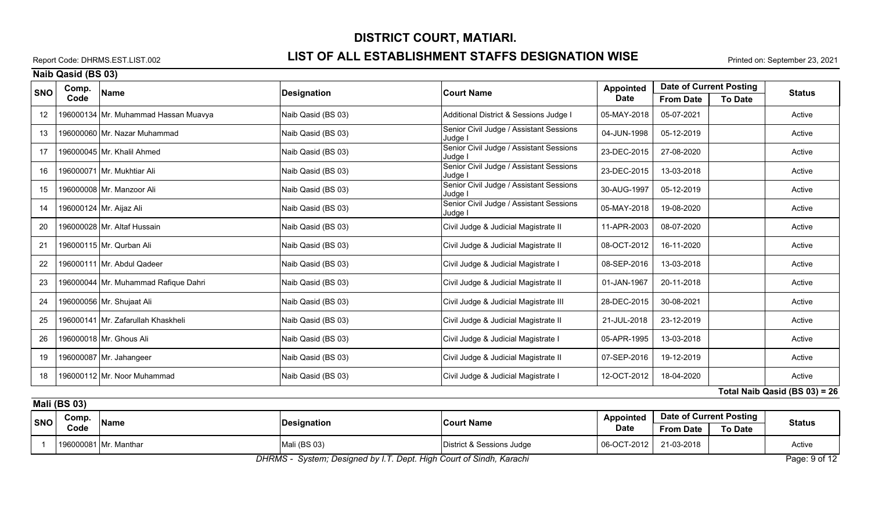### Report Code: DHRMS.EST.LIST.002 **LIST OF ALL ESTABLISHMENT STAFFS DESIGNATION WISE** Printed on: September 23, 2021

**Naib Qasid (BS 03)**

| <b>SNO</b> | Comp. | <b>Name</b>                          | <b>Designation</b> | <b>Court Name</b>                                  | <b>Appointed</b> |                  | <b>Date of Current Posting</b> | <b>Status</b>                 |
|------------|-------|--------------------------------------|--------------------|----------------------------------------------------|------------------|------------------|--------------------------------|-------------------------------|
|            | Code  |                                      |                    |                                                    | <b>Date</b>      | <b>From Date</b> | <b>To Date</b>                 |                               |
| 12         |       | 196000134 Mr. Muhammad Hassan Muavya | Naib Qasid (BS 03) | Additional District & Sessions Judge I             | 05-MAY-2018      | 05-07-2021       |                                | Active                        |
| 13         |       | 196000060 Mr. Nazar Muhammad         | Naib Qasid (BS 03) | Senior Civil Judge / Assistant Sessions<br>Judge I | 04-JUN-1998      | 05-12-2019       |                                | Active                        |
| 17         |       | 196000045 Mr. Khalil Ahmed           | Naib Qasid (BS 03) | Senior Civil Judge / Assistant Sessions<br>Judge I | 23-DEC-2015      | 27-08-2020       |                                | Active                        |
| 16         |       | 196000071 Mr. Mukhtiar Ali           | Naib Qasid (BS 03) | Senior Civil Judge / Assistant Sessions<br>Judge I | 23-DEC-2015      | 13-03-2018       |                                | Active                        |
| 15         |       | 196000008 Mr. Manzoor Ali            | Naib Qasid (BS 03) | Senior Civil Judge / Assistant Sessions<br>Judge l | 30-AUG-1997      | 05-12-2019       |                                | Active                        |
| 14         |       | 196000124 Mr. Aijaz Ali              | Naib Qasid (BS 03) | Senior Civil Judge / Assistant Sessions<br>Judge I | 05-MAY-2018      | 19-08-2020       |                                | Active                        |
| 20         |       | 196000028 Mr. Altaf Hussain          | Naib Qasid (BS 03) | Civil Judge & Judicial Magistrate II               | 11-APR-2003      | 08-07-2020       |                                | Active                        |
| 21         |       | 196000115 Mr. Qurban Ali             | Naib Qasid (BS 03) | Civil Judge & Judicial Magistrate II               | 08-OCT-2012      | 16-11-2020       |                                | Active                        |
| 22         |       | 196000111 Mr. Abdul Qadeer           | Naib Qasid (BS 03) | Civil Judge & Judicial Magistrate I                | 08-SEP-2016      | 13-03-2018       |                                | Active                        |
| 23         |       | 196000044 Mr. Muhammad Rafique Dahri | Naib Qasid (BS 03) | Civil Judge & Judicial Magistrate II               | 01-JAN-1967      | 20-11-2018       |                                | Active                        |
| 24         |       | 196000056 Mr. Shujaat Ali            | Naib Qasid (BS 03) | Civil Judge & Judicial Magistrate III              | 28-DEC-2015      | 30-08-2021       |                                | Active                        |
| 25         |       | 196000141 Mr. Zafarullah Khaskheli   | Naib Qasid (BS 03) | Civil Judge & Judicial Magistrate II               | 21-JUL-2018      | 23-12-2019       |                                | Active                        |
| 26         |       | 196000018 Mr. Ghous Ali              | Naib Qasid (BS 03) | Civil Judge & Judicial Magistrate I                | 05-APR-1995      | 13-03-2018       |                                | Active                        |
| 19         |       | 196000087 Mr. Jahangeer              | Naib Qasid (BS 03) | Civil Judge & Judicial Magistrate II               | 07-SEP-2016      | 19-12-2019       |                                | Active                        |
| 18         |       | 196000112 Mr. Noor Muhammad          | Naib Qasid (BS 03) | Civil Judge & Judicial Magistrate I                | 12-OCT-2012      | 18-04-2020       |                                | Active                        |
|            |       |                                      |                    |                                                    |                  |                  |                                | Total Naib Qasid (BS 03) = 26 |

**Mali (BS 03)**

| <b>SNO</b> | Comp. | <b>Name</b>           |              | <b>Court Name</b>         | <b>Appointed</b> | <b>Date of Current Posting</b> |                | Status |
|------------|-------|-----------------------|--------------|---------------------------|------------------|--------------------------------|----------------|--------|
|            | Code  |                       | Designation  |                           | <b>Date</b>      | <b>From Date</b>               | <b>To Date</b> |        |
|            |       | 196000081 Mr. Manthar | Mali (BS 03) | District & Sessions Judge | 06-OCT-2012      | 21-03-2018                     |                | Active |

*DHRMS - System; Designed by I.T. Dept. High Court of Sindh, Karachi* Page: 9 of 12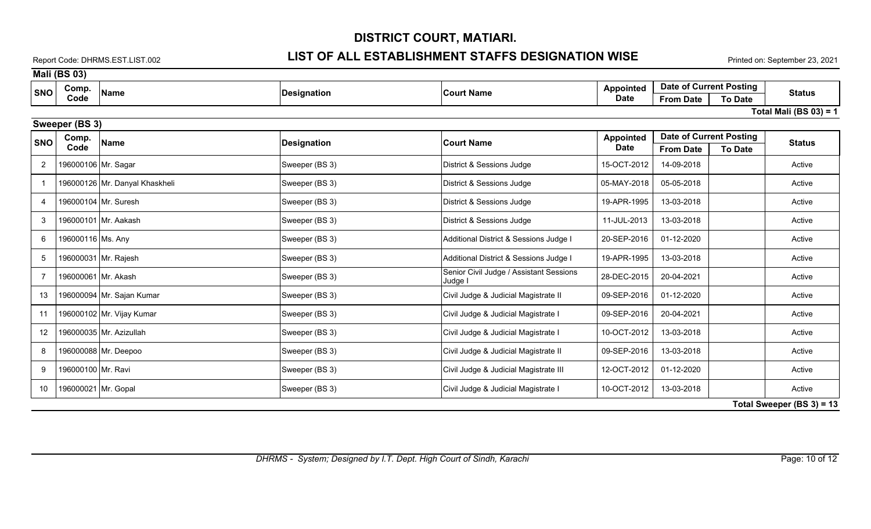### Report Code: DHRMS.EST.LIST.002 **LIST OF ALL ESTABLISHMENT STAFFS DESIGNATION WISE** Printed on: September 23, 2021

|                | <b>Mali (BS 03)</b>          |                                |                    |                                                    |                  |                                |                |                           |  |  |  |  |
|----------------|------------------------------|--------------------------------|--------------------|----------------------------------------------------|------------------|--------------------------------|----------------|---------------------------|--|--|--|--|
| <b>SNO</b>     | Comp.                        | <b>Name</b>                    | <b>Designation</b> | <b>Court Name</b>                                  | <b>Appointed</b> | <b>Date of Current Posting</b> |                | <b>Status</b>             |  |  |  |  |
|                | Code                         |                                |                    |                                                    | <b>Date</b>      | <b>From Date</b>               | <b>To Date</b> |                           |  |  |  |  |
|                |                              |                                |                    |                                                    |                  |                                |                | Total Mali (BS $03$ ) = 1 |  |  |  |  |
|                | Sweeper (BS 3)               |                                |                    |                                                    |                  |                                |                |                           |  |  |  |  |
| <b>SNO</b>     | Comp.                        | <b>Name</b>                    | <b>Designation</b> | <b>Court Name</b>                                  | <b>Appointed</b> | <b>Date of Current Posting</b> |                | <b>Status</b>             |  |  |  |  |
|                | Code                         |                                |                    |                                                    | <b>Date</b>      | <b>From Date</b>               | <b>To Date</b> |                           |  |  |  |  |
| $\overline{2}$ | 196000106 Mr. Sagar          |                                | Sweeper (BS 3)     | District & Sessions Judge                          | 15-OCT-2012      | 14-09-2018                     |                | Active                    |  |  |  |  |
| - 1            |                              | 196000126 Mr. Danyal Khaskheli | Sweeper (BS 3)     | District & Sessions Judge                          | 05-MAY-2018      | 05-05-2018                     |                | Active                    |  |  |  |  |
| $\overline{4}$ |                              | 196000104 Mr. Suresh           | Sweeper (BS 3)     | District & Sessions Judge                          | 19-APR-1995      | 13-03-2018                     |                | Active                    |  |  |  |  |
| 3              |                              | 196000101 Mr. Aakash           | Sweeper (BS 3)     | District & Sessions Judge                          | 11-JUL-2013      | 13-03-2018                     |                | Active                    |  |  |  |  |
| 6              | 196000116 Ms. Any            |                                | Sweeper (BS 3)     | Additional District & Sessions Judge I             | 20-SEP-2016      | 01-12-2020                     |                | Active                    |  |  |  |  |
| 5              |                              | 196000031 Mr. Rajesh           | Sweeper (BS 3)     | Additional District & Sessions Judge I             | 19-APR-1995      | 13-03-2018                     |                | Active                    |  |  |  |  |
| -7             |                              | 196000061 Mr. Akash            | Sweeper (BS 3)     | Senior Civil Judge / Assistant Sessions<br>Judge I | 28-DEC-2015      | 20-04-2021                     |                | Active                    |  |  |  |  |
| 13             |                              | 196000094 Mr. Sajan Kumar      | Sweeper (BS 3)     | Civil Judge & Judicial Magistrate II               | 09-SEP-2016      | 01-12-2020                     |                | Active                    |  |  |  |  |
| 11             |                              | 196000102 Mr. Vijay Kumar      | Sweeper (BS 3)     | Civil Judge & Judicial Magistrate I                | 09-SEP-2016      | 20-04-2021                     |                | Active                    |  |  |  |  |
| 12             |                              | 196000035 Mr. Azizullah        | Sweeper (BS 3)     | Civil Judge & Judicial Magistrate I                | 10-OCT-2012      | 13-03-2018                     |                | Active                    |  |  |  |  |
| 8              |                              | 196000088 Mr. Deepoo           | Sweeper (BS 3)     | Civil Judge & Judicial Magistrate II               | 09-SEP-2016      | 13-03-2018                     |                | Active                    |  |  |  |  |
| 9              | 196000100 Mr. Ravi           |                                | Sweeper (BS 3)     | Civil Judge & Judicial Magistrate III              | 12-OCT-2012      | 01-12-2020                     |                | Active                    |  |  |  |  |
| 10             | 196000021 Mr. Gopal          |                                | Sweeper (BS 3)     | Civil Judge & Judicial Magistrate I                | 10-OCT-2012      | 13-03-2018                     |                | Active                    |  |  |  |  |
|                | Total Sweeper (BS $3$ ) = 13 |                                |                    |                                                    |                  |                                |                |                           |  |  |  |  |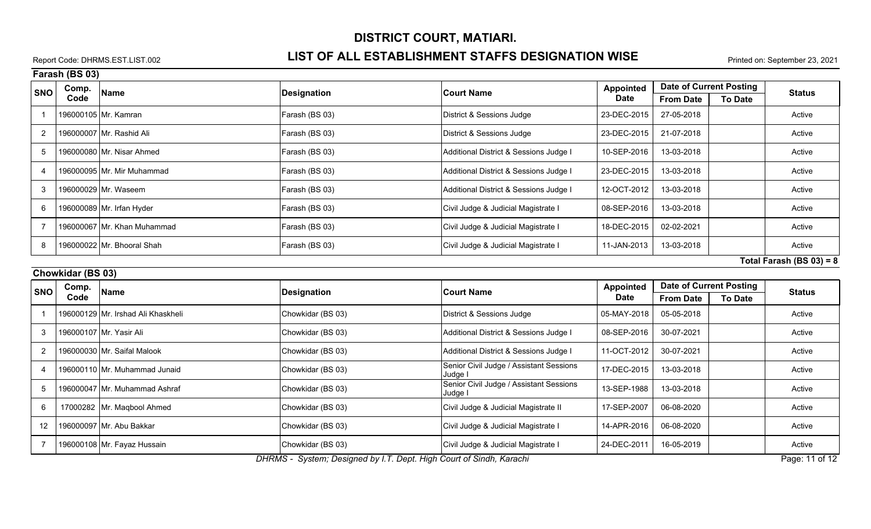### Report Code: DHRMS.EST.LIST.002 **LIST OF ALL ESTABLISHMENT STAFFS DESIGNATION WISE** Printed on: September 23, 2021

|                | Farash (BS 03) |                             |                    |                                        |                  |                  |                         |                             |
|----------------|----------------|-----------------------------|--------------------|----------------------------------------|------------------|------------------|-------------------------|-----------------------------|
| <b>SNO</b>     | Comp.          | Name                        | <b>Designation</b> | <b>Court Name</b>                      | <b>Appointed</b> |                  | Date of Current Posting | <b>Status</b>               |
|                | Code           |                             |                    |                                        | <b>Date</b>      | <b>From Date</b> | <b>To Date</b>          |                             |
|                |                | 196000105 Mr. Kamran        | Farash (BS 03)     | District & Sessions Judge              | 23-DEC-2015      | 27-05-2018       |                         | Active                      |
|                |                | 196000007 Mr. Rashid Ali    | Farash (BS 03)     | District & Sessions Judge              | 23-DEC-2015      | 21-07-2018       |                         | Active                      |
|                |                | 196000080 Mr. Nisar Ahmed   | Farash (BS 03)     | Additional District & Sessions Judge I | 10-SEP-2016      | 13-03-2018       |                         | Active                      |
| $\overline{4}$ |                | 196000095 Mr. Mir Muhammad  | Farash (BS 03)     | Additional District & Sessions Judge I | 23-DEC-2015      | 13-03-2018       |                         | Active                      |
|                |                | 196000029 Mr. Waseem        | Farash (BS 03)     | Additional District & Sessions Judge I | 12-OCT-2012      | 13-03-2018       |                         | Active                      |
| 6              |                | 196000089 Mr. Irfan Hyder   | Farash (BS 03)     | Civil Judge & Judicial Magistrate I    | 08-SEP-2016      | 13-03-2018       |                         | Active                      |
|                |                | 196000067 Mr. Khan Muhammad | Farash (BS 03)     | Civil Judge & Judicial Magistrate I    | 18-DEC-2015      | 02-02-2021       |                         | Active                      |
|                |                | 196000022 Mr. Bhooral Shah  | Farash (BS 03)     | Civil Judge & Judicial Magistrate I    | 11-JAN-2013      | 13-03-2018       |                         | Active                      |
|                |                |                             |                    |                                        |                  |                  |                         | $T$ atal Earaah (DC 02) = 0 |

**Total Farash (BS 03) = 8**

| Chowkidar (BS 03) |               |                                    |                                     |                                                                                                       |                          |                                |                |               |  |  |  |
|-------------------|---------------|------------------------------------|-------------------------------------|-------------------------------------------------------------------------------------------------------|--------------------------|--------------------------------|----------------|---------------|--|--|--|
| <b>SNO</b>        | Comp.<br>Code | <b>Name</b>                        | Designation                         | <b>Court Name</b>                                                                                     | <b>Appointed</b><br>Date | <b>Date of Current Posting</b> |                |               |  |  |  |
|                   |               |                                    |                                     |                                                                                                       |                          | <b>From Date</b>               | <b>To Date</b> | <b>Status</b> |  |  |  |
|                   |               | 196000129 Mr. Irshad Ali Khaskheli | Chowkidar (BS 03)                   | District & Sessions Judge                                                                             | 05-MAY-2018              | 05-05-2018                     |                | Active        |  |  |  |
|                   |               | 196000107 Mr. Yasir Ali            | Chowkidar (BS 03)                   | Additional District & Sessions Judge I                                                                | 08-SEP-2016              | 30-07-2021                     |                | Active        |  |  |  |
|                   |               | 196000030   Mr. Saifal Malook_     | Chowkidar (BS 03)                   | Additional District & Sessions Judge I                                                                | 11-OCT-2012              | 30-07-2021                     |                | Active        |  |  |  |
|                   |               | 196000110 Mr. Muhammad Junaid      | Chowkidar (BS 03)                   | Senior Civil Judge / Assistant Sessions<br>Judge I                                                    | 17-DEC-2015              | 13-03-2018                     |                | Active        |  |  |  |
|                   |               | 196000047 Mr. Muhammad Ashraf      | Chowkidar (BS 03)                   | Senior Civil Judge / Assistant Sessions<br>Judge I                                                    | 13-SEP-1988              | 13-03-2018                     |                | Active        |  |  |  |
| 6                 |               | 17000282 Mr. Maqbool Ahmed         | Chowkidar (BS 03)                   | Civil Judge & Judicial Magistrate II                                                                  | 17-SEP-2007              | 06-08-2020                     |                | Active        |  |  |  |
| 12                |               | 196000097 Mr. Abu Bakkar           | Chowkidar (BS 03)                   | Civil Judge & Judicial Magistrate I                                                                   | 14-APR-2016              | 06-08-2020                     |                | Active        |  |  |  |
|                   |               | 196000108 Mr. Fayaz Hussain        | Chowkidar (BS 03)<br>$\blacksquare$ | Civil Judge & Judicial Magistrate I<br>$\cdots$ $\cdots$ $\cdots$ $\cdots$ $\cdots$ $\cdots$ $\cdots$ | 24-DEC-201               | 16-05-2019                     |                | Active<br>.   |  |  |  |

*DHRMS - System; Designed by I.T. Dept. High Court of Sindh, Karachi* Page: 11 of 12